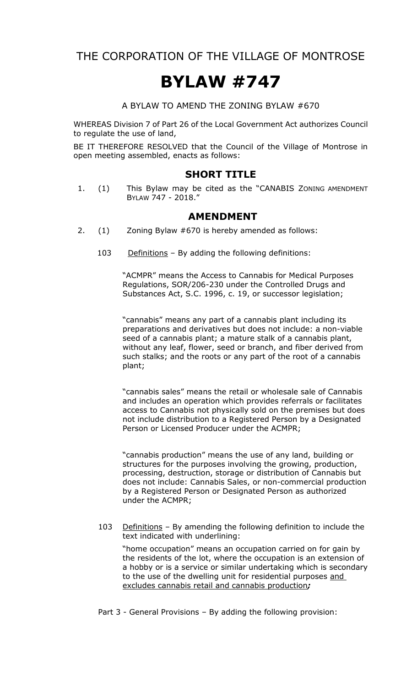THE CORPORATION OF THE VILLAGE OF MONTROSE

## **BYLAW #747**

A BYLAW TO AMEND THE ZONING BYLAW #670

WHEREAS Division 7 of Part 26 of the Local Government Act authorizes Council to regulate the use of land,

BE IT THEREFORE RESOLVED that the Council of the Village of Montrose in open meeting assembled, enacts as follows:

## **SHORT TITLE**

1. (1) This Bylaw may be cited as the "CANABIS ZONING AMENDMENT BYLAW 747 - 2018."

## **AMENDMENT**

- 2. (1) Zoning Bylaw #670 is hereby amended as follows:
	- 103 Definitions By adding the following definitions:

"ACMPR" means the Access to Cannabis for Medical Purposes Regulations, SOR/206-230 under the Controlled Drugs and Substances Act, S.C. 1996, c. 19, or successor legislation;

"cannabis" means any part of a cannabis plant including its preparations and derivatives but does not include: a non-viable seed of a cannabis plant; a mature stalk of a cannabis plant, without any leaf, flower, seed or branch, and fiber derived from such stalks; and the roots or any part of the root of a cannabis plant;

"cannabis sales" means the retail or wholesale sale of Cannabis and includes an operation which provides referrals or facilitates access to Cannabis not physically sold on the premises but does not include distribution to a Registered Person by a Designated Person or Licensed Producer under the ACMPR;

"cannabis production" means the use of any land, building or structures for the purposes involving the growing, production, processing, destruction, storage or distribution of Cannabis but does not include: Cannabis Sales, or non-commercial production by a Registered Person or Designated Person as authorized under the ACMPR;

103 Definitions - By amending the following definition to include the text indicated with underlining:

"home occupation" means an occupation carried on for gain by the residents of the lot, where the occupation is an extension of a hobby or is a service or similar undertaking which is secondary to the use of the dwelling unit for residential purposes and excludes cannabis retail and cannabis production*;*

Part 3 - General Provisions – By adding the following provision: